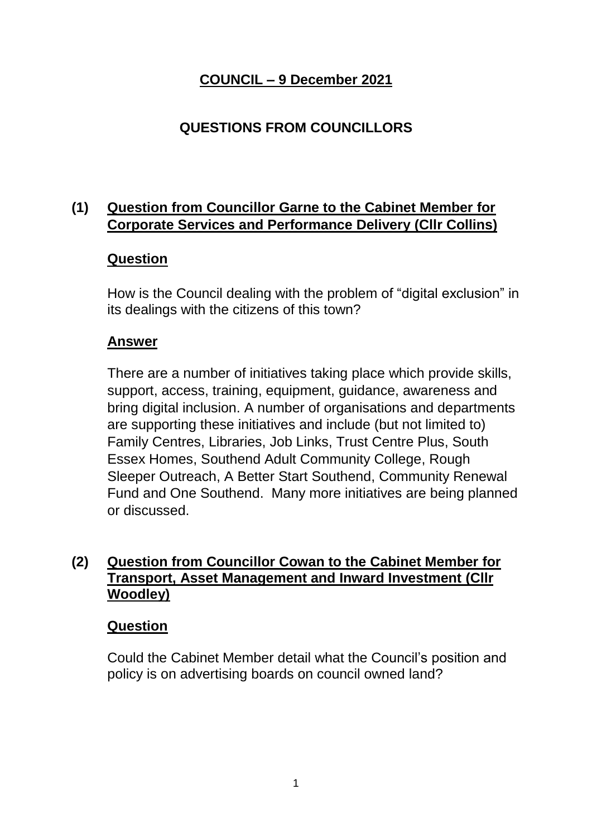# **COUNCIL – 9 December 2021**

# **QUESTIONS FROM COUNCILLORS**

# **(1) Question from Councillor Garne to the Cabinet Member for Corporate Services and Performance Delivery (Cllr Collins)**

### **Question**

How is the Council dealing with the problem of "digital exclusion" in its dealings with the citizens of this town?

#### **Answer**

There are a number of initiatives taking place which provide skills, support, access, training, equipment, guidance, awareness and bring digital inclusion. A number of organisations and departments are supporting these initiatives and include (but not limited to) Family Centres, Libraries, Job Links, Trust Centre Plus, South Essex Homes, Southend Adult Community College, Rough Sleeper Outreach, A Better Start Southend, Community Renewal Fund and One Southend. Many more initiatives are being planned or discussed.

## **(2) Question from Councillor Cowan to the Cabinet Member for Transport, Asset Management and Inward Investment (Cllr Woodley)**

#### **Question**

Could the Cabinet Member detail what the Council's position and policy is on advertising boards on council owned land?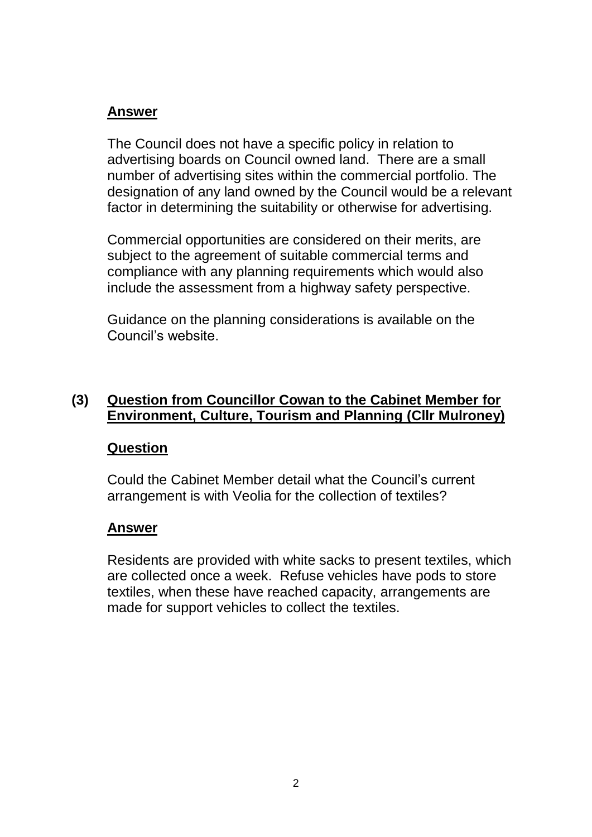## **Answer**

The Council does not have a specific policy in relation to advertising boards on Council owned land. There are a small number of advertising sites within the commercial portfolio. The designation of any land owned by the Council would be a relevant factor in determining the suitability or otherwise for advertising.

Commercial opportunities are considered on their merits, are subject to the agreement of suitable commercial terms and compliance with any planning requirements which would also include the assessment from a highway safety perspective.

Guidance on the planning considerations is available on the Council's website.

### **(3) Question from Councillor Cowan to the Cabinet Member for Environment, Culture, Tourism and Planning (Cllr Mulroney)**

## **Question**

Could the Cabinet Member detail what the Council's current arrangement is with Veolia for the collection of textiles?

#### **Answer**

Residents are provided with white sacks to present textiles, which are collected once a week. Refuse vehicles have pods to store textiles, when these have reached capacity, arrangements are made for support vehicles to collect the textiles.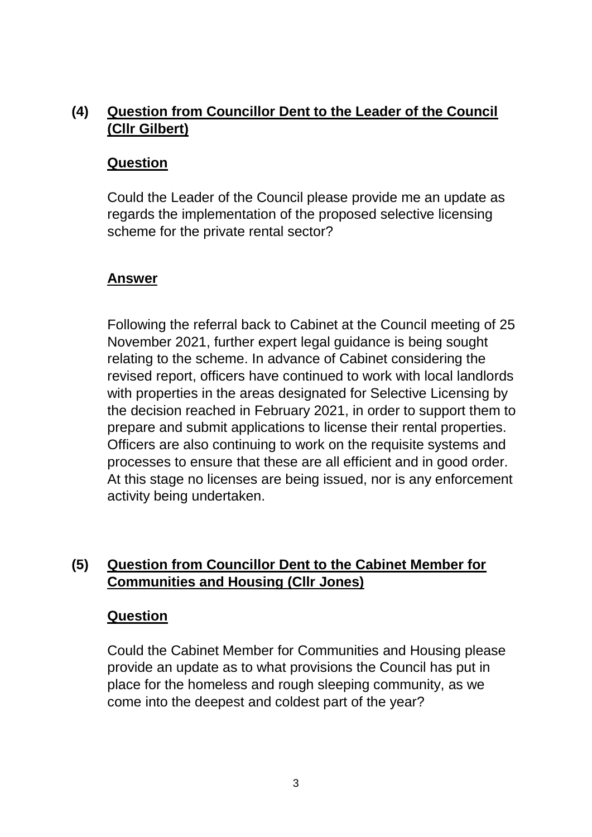# **(4) Question from Councillor Dent to the Leader of the Council (Cllr Gilbert)**

### **Question**

Could the Leader of the Council please provide me an update as regards the implementation of the proposed selective licensing scheme for the private rental sector?

## **Answer**

Following the referral back to Cabinet at the Council meeting of 25 November 2021, further expert legal guidance is being sought relating to the scheme. In advance of Cabinet considering the revised report, officers have continued to work with local landlords with properties in the areas designated for Selective Licensing by the decision reached in February 2021, in order to support them to prepare and submit applications to license their rental properties. Officers are also continuing to work on the requisite systems and processes to ensure that these are all efficient and in good order. At this stage no licenses are being issued, nor is any enforcement activity being undertaken.

# **(5) Question from Councillor Dent to the Cabinet Member for Communities and Housing (Cllr Jones)**

#### **Question**

Could the Cabinet Member for Communities and Housing please provide an update as to what provisions the Council has put in place for the homeless and rough sleeping community, as we come into the deepest and coldest part of the year?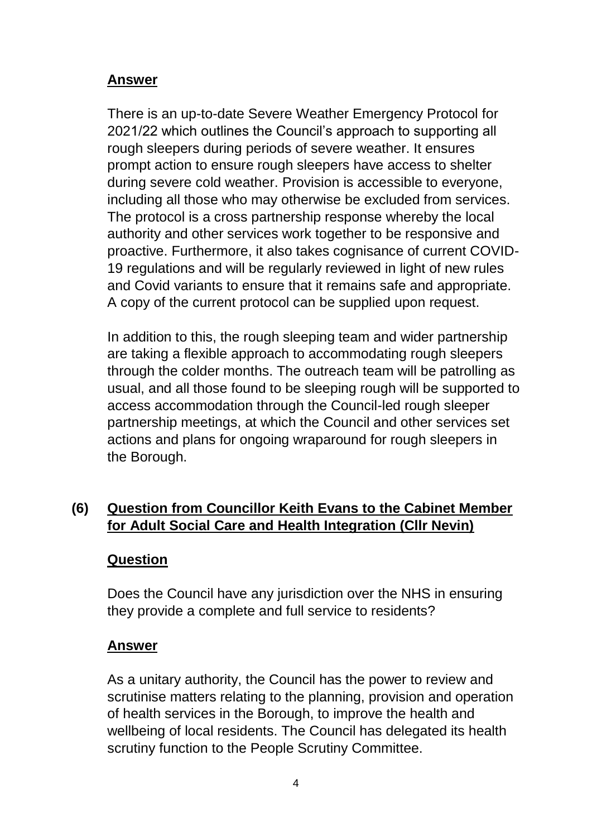### **Answer**

There is an up-to-date Severe Weather Emergency Protocol for 2021/22 which outlines the Council's approach to supporting all rough sleepers during periods of severe weather. It ensures prompt action to ensure rough sleepers have access to shelter during severe cold weather. Provision is accessible to everyone, including all those who may otherwise be excluded from services. The protocol is a cross partnership response whereby the local authority and other services work together to be responsive and proactive. Furthermore, it also takes cognisance of current COVID-19 regulations and will be regularly reviewed in light of new rules and Covid variants to ensure that it remains safe and appropriate. A copy of the current protocol can be supplied upon request.

In addition to this, the rough sleeping team and wider partnership are taking a flexible approach to accommodating rough sleepers through the colder months. The outreach team will be patrolling as usual, and all those found to be sleeping rough will be supported to access accommodation through the Council-led rough sleeper partnership meetings, at which the Council and other services set actions and plans for ongoing wraparound for rough sleepers in the Borough.

# **(6) Question from Councillor Keith Evans to the Cabinet Member for Adult Social Care and Health Integration (Cllr Nevin)**

#### **Question**

Does the Council have any jurisdiction over the NHS in ensuring they provide a complete and full service to residents?

#### **Answer**

As a unitary authority, the Council has the power to review and scrutinise matters relating to the planning, provision and operation of health services in the Borough, to improve the health and wellbeing of local residents. The Council has delegated its health scrutiny function to the People Scrutiny Committee.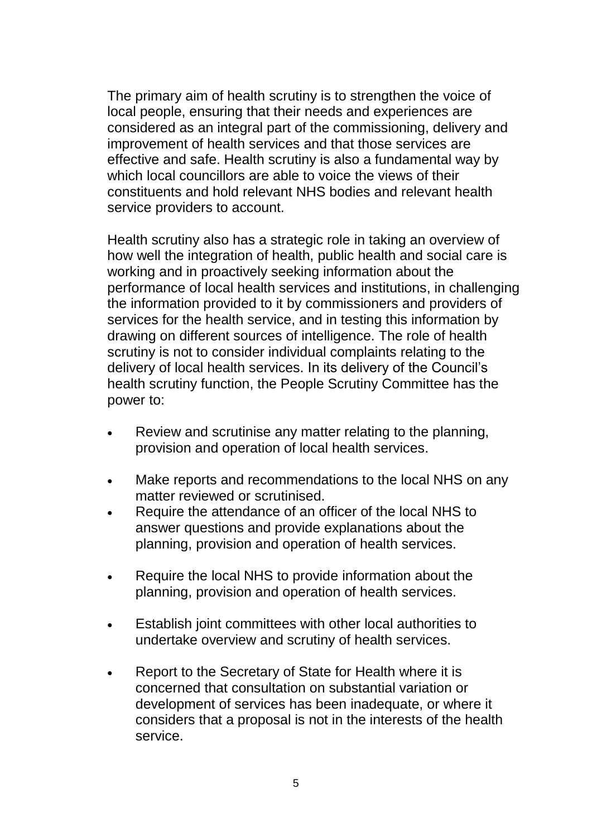The primary aim of health scrutiny is to strengthen the voice of local people, ensuring that their needs and experiences are considered as an integral part of the commissioning, delivery and improvement of health services and that those services are effective and safe. Health scrutiny is also a fundamental way by which local councillors are able to voice the views of their constituents and hold relevant NHS bodies and relevant health service providers to account.

Health scrutiny also has a strategic role in taking an overview of how well the integration of health, public health and social care is working and in proactively seeking information about the performance of local health services and institutions, in challenging the information provided to it by commissioners and providers of services for the health service, and in testing this information by drawing on different sources of intelligence. The role of health scrutiny is not to consider individual complaints relating to the delivery of local health services. In its delivery of the Council's health scrutiny function, the People Scrutiny Committee has the power to:

- Review and scrutinise any matter relating to the planning, provision and operation of local health services.
- Make reports and recommendations to the local NHS on any matter reviewed or scrutinised.
- Require the attendance of an officer of the local NHS to answer questions and provide explanations about the planning, provision and operation of health services.
- Require the local NHS to provide information about the planning, provision and operation of health services.
- Establish joint committees with other local authorities to undertake overview and scrutiny of health services.
- Report to the Secretary of State for Health where it is concerned that consultation on substantial variation or development of services has been inadequate, or where it considers that a proposal is not in the interests of the health service.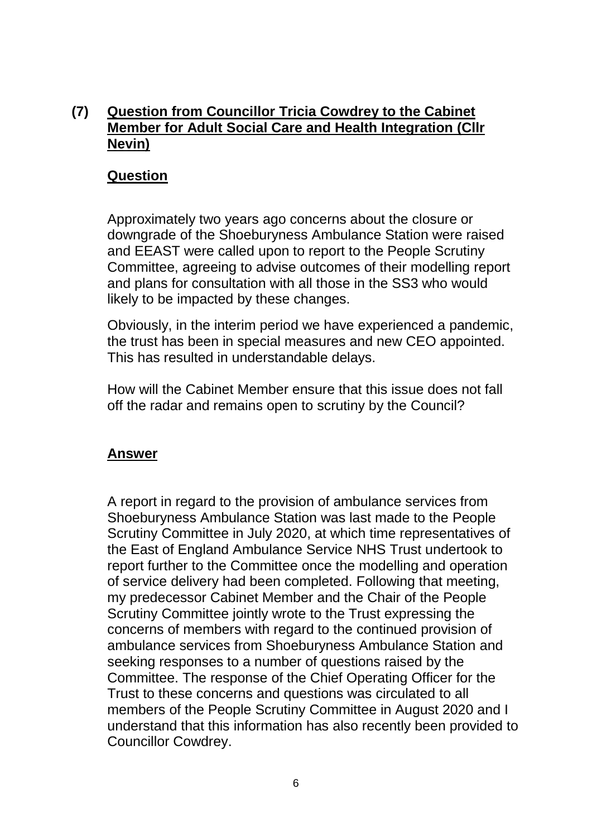# **(7) Question from Councillor Tricia Cowdrey to the Cabinet Member for Adult Social Care and Health Integration (Cllr Nevin)**

### **Question**

Approximately two years ago concerns about the closure or downgrade of the Shoeburyness Ambulance Station were raised and EEAST were called upon to report to the People Scrutiny Committee, agreeing to advise outcomes of their modelling report and plans for consultation with all those in the SS3 who would likely to be impacted by these changes.

Obviously, in the interim period we have experienced a pandemic, the trust has been in special measures and new CEO appointed. This has resulted in understandable delays.

How will the Cabinet Member ensure that this issue does not fall off the radar and remains open to scrutiny by the Council?

#### **Answer**

A report in regard to the provision of ambulance services from Shoeburyness Ambulance Station was last made to the People Scrutiny Committee in July 2020, at which time representatives of the East of England Ambulance Service NHS Trust undertook to report further to the Committee once the modelling and operation of service delivery had been completed. Following that meeting, my predecessor Cabinet Member and the Chair of the People Scrutiny Committee jointly wrote to the Trust expressing the concerns of members with regard to the continued provision of ambulance services from Shoeburyness Ambulance Station and seeking responses to a number of questions raised by the Committee. The response of the Chief Operating Officer for the Trust to these concerns and questions was circulated to all members of the People Scrutiny Committee in August 2020 and I understand that this information has also recently been provided to Councillor Cowdrey.